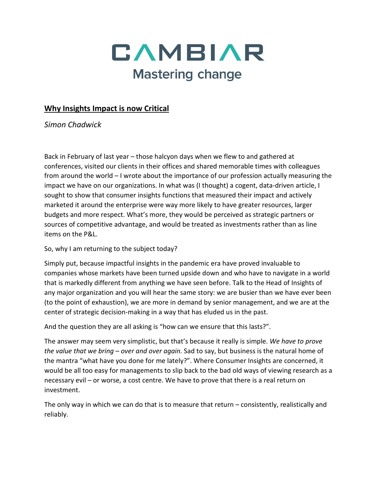

## **Why Insights Impact is now Critical**

*Simon Chadwick*

Back in February of last year – those halcyon days when we flew to and gathered at conferences, visited our clients in their offices and shared memorable times with colleagues from around the world – I wrote about the importance of our profession actually measuring the impact we have on our organizations. In what was (I thought) a cogent, data-driven article, I sought to show that consumer insights functions that measured their impact and actively marketed it around the enterprise were way more likely to have greater resources, larger budgets and more respect. What's more, they would be perceived as strategic partners or sources of competitive advantage, and would be treated as investments rather than as line items on the P&L.

So, why I am returning to the subject today?

Simply put, because impactful insights in the pandemic era have proved invaluable to companies whose markets have been turned upside down and who have to navigate in a world that is markedly different from anything we have seen before. Talk to the Head of Insights of any major organization and you will hear the same story: we are busier than we have ever been (to the point of exhaustion), we are more in demand by senior management, and we are at the center of strategic decision-making in a way that has eluded us in the past.

And the question they are all asking is "how can we ensure that this lasts?".

The answer may seem very simplistic, but that's because it really is simple. *We have to prove the value that we bring – over and over again.* Sad to say, but business is the natural home of the mantra "what have you done for me lately?". Where Consumer Insights are concerned, it would be all too easy for managements to slip back to the bad old ways of viewing research as a necessary evil – or worse, a cost centre. We have to prove that there is a real return on investment.

The only way in which we can do that is to measure that return – consistently, realistically and reliably.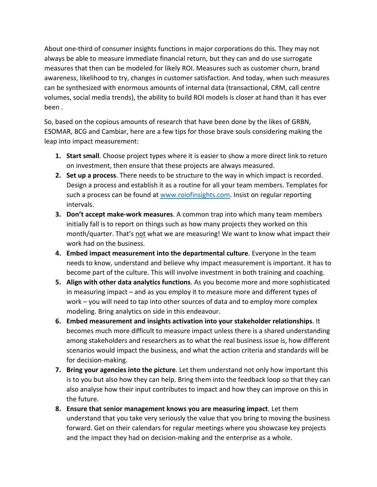About one-third of consumer insights functions in major corporations do this. They may not always be able to measure immediate financial return, but they can and do use surrogate measures that then can be modeled for likely ROI. Measures such as customer churn, brand awareness, likelihood to try, changes in customer satisfaction. And today, when such measures can be synthesized with enormous amounts of internal data (transactional, CRM, call centre volumes, social media trends), the ability to build ROI models is closer at hand than it has ever been .

So, based on the copious amounts of research that have been done by the likes of GRBN, ESOMAR, BCG and Cambiar, here are a few tips for those brave souls considering making the leap into impact measurement:

- **1. Start small**. Choose project types where it is easier to show a more direct link to return on investment, then ensure that these projects are always measured.
- **2. Set up a process**. There needs to be structure to the way in which impact is recorded. Design a process and establish it as a routine for all your team members. Templates for such a process can be found at [www.roiofinsights.com.](http://www.roiofinsights.com/) Insist on regular reporting intervals.
- **3. Don't accept make-work measures**. A common trap into which many team members initially fall is to report on things such as how many projects they worked on this month/quarter. That's not what we are measuring! We want to know what impact their work had on the business.
- **4. Embed impact measurement into the departmental culture**. Everyone in the team needs to know, understand and believe why impact measurement is important. It has to become part of the culture. This will involve investment in both training and coaching.
- **5. Align with other data analytics functions**. As you become more and more sophisticated in measuring impact – and as you employ it to measure more and different types of work – you will need to tap into other sources of data and to employ more complex modeling. Bring analytics on side in this endeavour.
- **6. Embed measurement and insights activation into your stakeholder relationships**. It becomes much more difficult to measure impact unless there is a shared understanding among stakeholders and researchers as to what the real business issue is, how different scenarios would impact the business, and what the action criteria and standards will be for decision-making.
- **7. Bring your agencies into the picture**. Let them understand not only how important this is to you but also how they can help. Bring them into the feedback loop so that they can also analyse how their input contributes to impact and how they can improve on this in the future.
- **8. Ensure that senior management knows you are measuring impact**. Let them understand that you take very seriously the value that you bring to moving the business forward. Get on their calendars for regular meetings where you showcase key projects and the impact they had on decision-making and the enterprise as a whole.